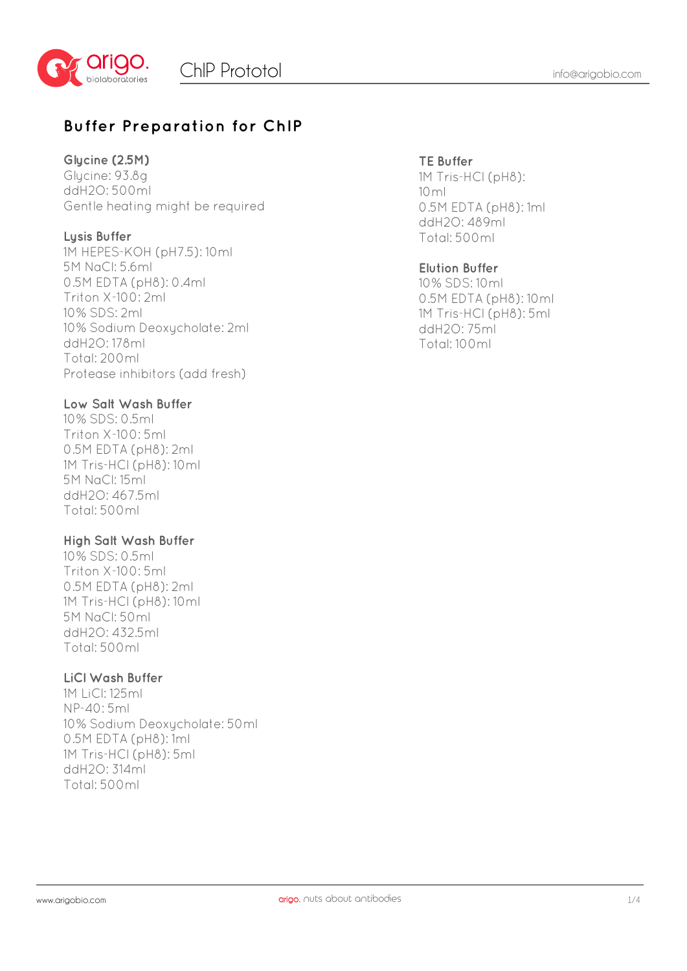

## **Buffer Preparation for ChIP**

#### **Glycine (2.5M)**

Glycine: 93.8g ddH2O: 500ml Gentle heating might be required

#### **Lysis Buffer**

1M HEPES-KOH (pH7.5): 10ml 5M NaCl: 5.6ml 0.5M EDTA (pH8): 0.4ml Triton X-100: 2ml 10% SDS: 2ml 10% Sodium Deoxycholate: 2ml ddH2O: 178ml Total: 200ml Protease inhibitors (add fresh)

#### **Low Salt Wash Buffer**

10% SDS: 0.5ml Triton X-100: 5ml 0.5M EDTA (pH8): 2ml 1M Tris-HCl (pH8): 10ml 5M NaCl: 15ml ddH2O: 467.5ml Total: 500ml

#### **High Salt Wash Buffer**

10% SDS: 0.5ml Triton X-100: 5ml 0.5M EDTA (pH8): 2ml 1M Tris-HCl (pH8): 10ml 5M NaCl: 50ml ddH2O: 432.5ml Total: 500ml

#### **LiCl Wash Buffer**

1M LiCl: 125ml NP-40: 5ml 10% Sodium Deoxycholate: 50ml 0.5M EDTA (pH8): 1ml 1M Tris-HCl (pH8): 5ml ddH2O: 314ml Total: 500ml

#### **TE Buffer**

1M Tris-HCl (pH8): 10ml 0.5M EDTA (pH8): 1ml ddH2O: 489ml Total: 500ml

#### **Elution Buffer**

10% SDS: 10ml 0.5M EDTA (pH8): 10ml 1M Tris-HCl (pH8): 5ml ddH2O: 75ml Total: 100ml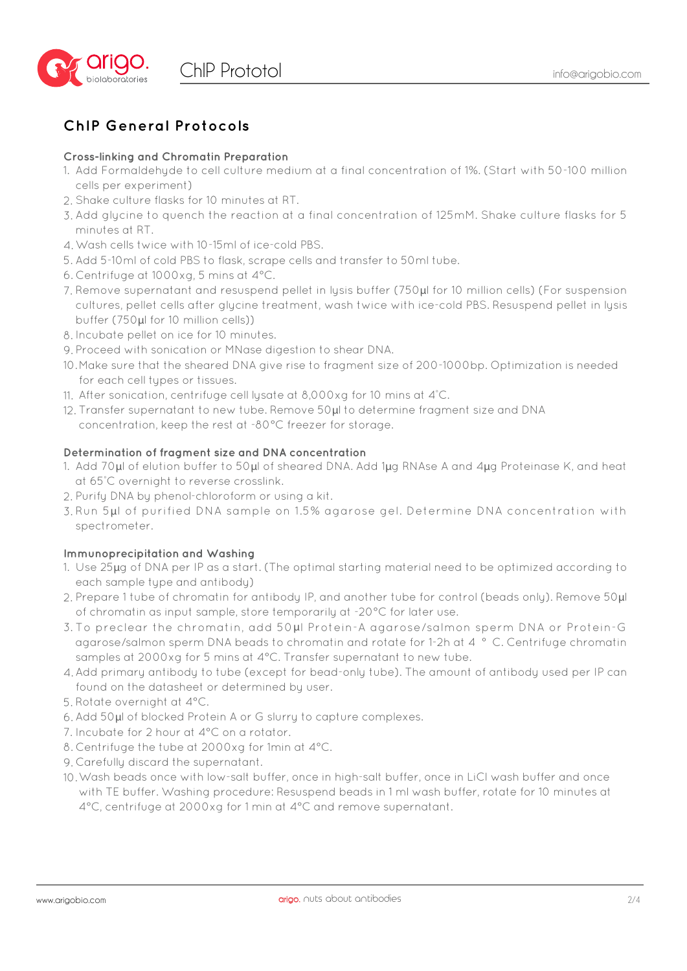

## **ChIP General Protocols**

#### **Cross-linking and Chromatin Preparation**

- 1. Add Formaldehyde to cell culture medium at a final concentration of 1%. (Start with 50-100 million cells per experiment)
- 2. Shake culture flasks for 10 minutes at RT.
- Add glycine to quench the reaction at a final concentration of 125mM. Shake culture flasks for 5 3. minutes at RT.
- Wash cells twice with 10-15ml of ice-cold PBS. 4.
- 5. Add 5-10ml of cold PBS to flask, scrape cells and transfer to 50ml tube.
- Centrifuge at 1000xg, 5 mins at 4°C. 6.
- Remove supernatant and resuspend pellet in lysis buffer (750μl for 10 million cells) (For suspension 7. cultures, pellet cells after glycine treatment, wash twice with ice-cold PBS. Resuspend pellet in lysis buffer (750μl for 10 million cells))
- 8. Incubate pellet on ice for 10 minutes.
- Proceed with sonication or MNase digestion to shear DNA. 9.
- 10.Make sure that the sheared DNA give rise to fragment size of 200-1000bp. Optimization is needed for each cell types or tissues.
- 11. After sonication, centrifuge cell lysate at 8,000xg for 10 mins at 4°C.
- 12. Transfer supernatant to new tube. Remove 50 $\mu$ l to determine fragment size and DNA concentration, keep the rest at -80°C freezer for storage.

#### **Determination of fragment size and DNA concentration**

- 1. Add 70 $\mu$ l of elution buffer to 50 $\mu$ l of sheared DNA. Add 1 $\mu$ g RNAse A and 4 $\mu$ g Proteinase K, and heat at 65° C overnight to reverse crosslink.
- 2. Purify DNA by phenol-chloroform or using a kit.
- 3. Run 5µl of purified DNA sample on 1.5% agarose gel. Determine DNA concentration with spectrometer.

#### **Immunoprecipitation and Washing**

- 1. Use  $25\mu$ g of DNA per IP as a start. (The optimal starting material need to be optimized according to each sample type and antibody)
- 2. Prepare 1 tube of chromatin for antibody IP, and another tube for control (beads only). Remove 50µl of chromatin as input sample, store temporarily at -20°C for later use.
- 3. To preclear the chromatin, add 50µl Protein-A agarose/salmon sperm DNA or Protein-G agarose/salmon sperm DNA beads to chromatin and rotate for 1-2h at 4 ° C. Centrifuge chromatin samples at 2000xg for 5 mins at 4°C. Transfer supernatant to new tube.
- Add primary antibody to tube (except for bead-only tube). The amount of antibody used per IP can 4. found on the datasheet or determined by user.
- 5. Rotate overnight at 4°C.
- 6. Add 50µl of blocked Protein A or G slurry to capture complexes.
- 7. Incubate for 2 hour at 4°C on a rotator.
- Centrifuge the tube at 2000xg for 1min at 4°C. 8.
- Carefully discard the supernatant. 9.
- Wash beads once with low-salt buffer, once in high-salt buffer, once in LiCl wash buffer and once 10. with TE buffer. Washing procedure: Resuspend beads in 1 ml wash buffer, rotate for 10 minutes at 4°C, centrifuge at 2000xg for 1 min at 4°C and remove supernatant.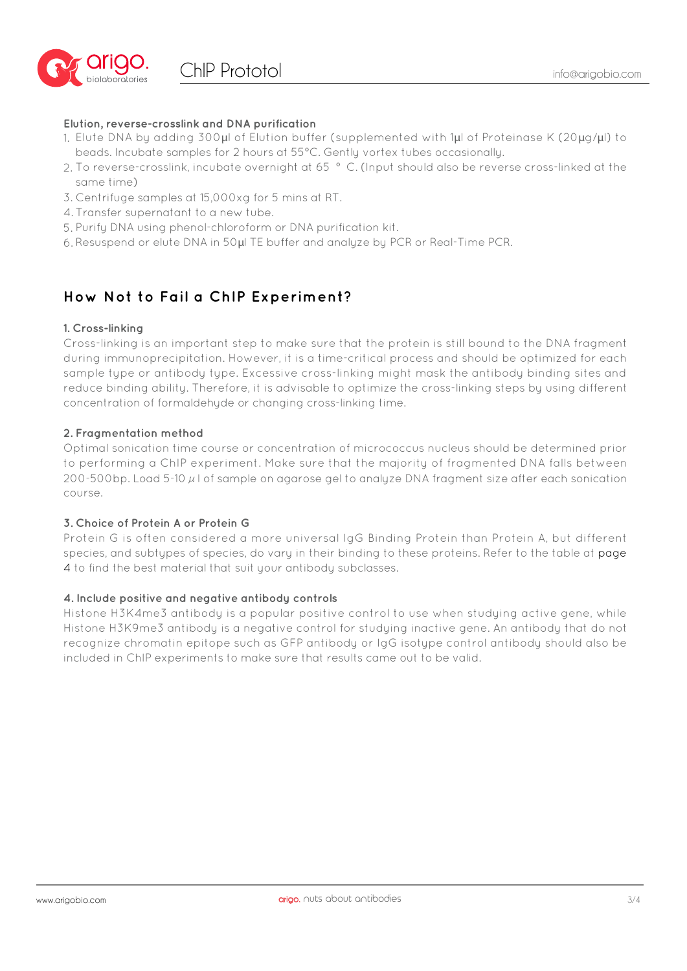

#### **Elution, reverse-crosslink and DNA purification**

- 1. Elute DNA by adding 300 $\mu$ l of Elution buffer (supplemented with 1 $\mu$ l of Proteinase K (20 $\mu$ g/ $\mu$ l) to beads. Incubate samples for 2 hours at 55°C. Gently vortex tubes occasionally.
- 2. To reverse-crosslink, incubate overnight at 65 ° C. (Input should also be reverse cross-linked at the same time)
- 3. Centrifuge samples at 15,000xg for 5 mins at RT.
- 4. Transfer supernatant to a new tube.
- 5. Purify DNA using phenol-chloroform or DNA purification kit.
- 6. Resuspend or elute DNA in 50 $\mu$ l TE buffer and analyze by PCR or Real-Time PCR.

### **How Not to Fail a ChIP Experiment?**

#### **1. Cross-linking**

Cross-linking is an important step to make sure that the protein is still bound to the DNA fragment during immunoprecipitation. However, it is a time-critical process and should be optimized for each sample type or antibody type. Excessive cross-linking might mask the antibody binding sites and reduce binding ability. Therefore, it is advisable to optimize the cross-linking steps by using different concentration of formaldehyde or changing cross-linking time.

#### **2. Fragmentation method**

Optimal sonication time course or concentration of micrococcus nucleus should be determined prior to performing a ChIP experiment. Make sure that the majority of fragmented DNA falls between 200-500bp. Load 5-10  $\mu$  l of sample on agarose gel to analyze DNA fragment size after each sonication course.

#### **3. Choice of Protein A or Protein G**

Protein G is often considered a more universal IgG Binding Protein than Protein A, but different species, and subtypes of species, do vary in their binding to these proteins. Refer to the table at page 4 to find the best material that suit your antibody subclasses.

#### **4. Include positive and negative antibody controls**

Histone H3K4me3 antibody is a popular positive control to use when studying active gene, while Histone H3K9me3 antibody is a negative control for studying inactive gene. An antibody that do not recognize chromatin epitope such as GFP antibody or IgG isotype control antibody should also be included in ChIP experiments to make sure that results came out to be valid.